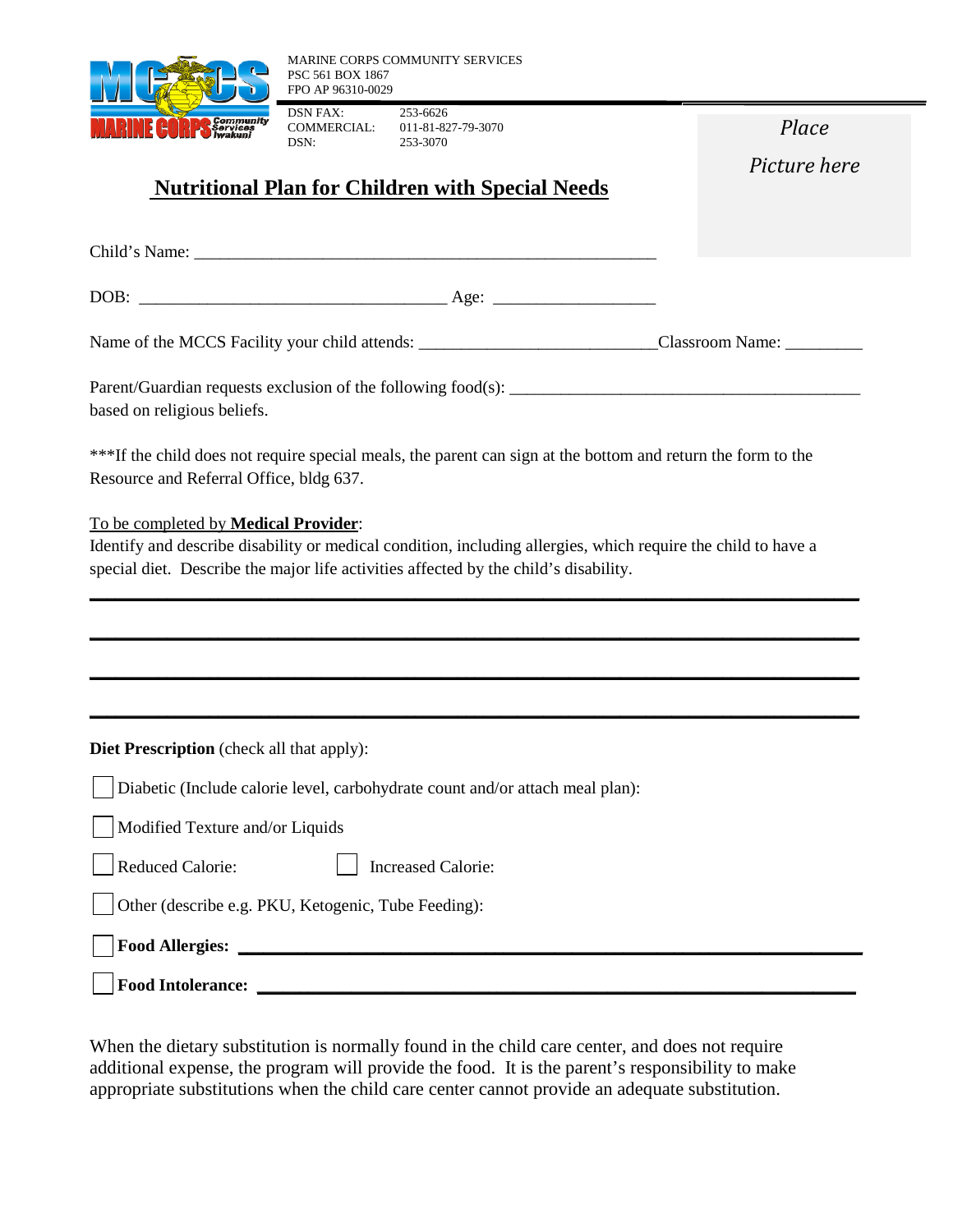

DSN FAX: 253-6626<br>COMMERCIAL: 011-81-82 COMMERCIAL: 011-81-827-79-3070<br>DSN: 253-3070 DSN: 253-3070

*Place* 

*Picture here*

## **Nutritional Plan for Children with Special Needs**

Child's Name: DOB: \_\_\_\_\_\_\_\_\_\_\_\_\_\_\_\_\_\_\_\_\_\_\_\_\_\_\_\_\_\_\_\_\_\_\_\_ Age: \_\_\_\_\_\_\_\_\_\_\_\_\_\_\_\_\_\_\_ Name of the MCCS Facility your child attends: \_\_\_\_\_\_\_\_\_\_\_\_\_\_\_\_\_\_\_\_\_\_\_\_\_\_\_\_Classroom Name: \_\_\_\_\_\_\_\_\_ Parent/Guardian requests exclusion of the following food(s): based on religious beliefs. \*\*\*If the child does not require special meals, the parent can sign at the bottom and return the form to the Resource and Referral Office, bldg 637. To be completed by **Medical Provider**: Identify and describe disability or medical condition, including allergies, which require the child to have a special diet. Describe the major life activities affected by the child's disability. **\_\_\_\_\_\_\_\_\_\_\_\_\_\_\_\_\_\_\_\_\_\_\_\_\_\_\_\_\_\_\_\_\_\_\_\_\_\_\_\_\_\_\_\_\_\_\_\_\_\_\_\_\_\_\_\_\_\_\_\_\_\_\_\_\_\_\_\_\_\_\_\_\_\_\_\_\_\_\_\_\_\_\_\_\_\_\_\_\_\_ \_\_\_\_\_\_\_\_\_\_\_\_\_\_\_\_\_\_\_\_\_\_\_\_\_\_\_\_\_\_\_\_\_\_\_\_\_\_\_\_\_\_\_\_\_\_\_\_\_\_\_\_\_\_\_\_\_\_\_\_\_\_\_\_\_\_\_\_\_\_\_\_\_\_\_\_\_\_\_\_\_\_\_\_\_\_\_\_\_\_ \_\_\_\_\_\_\_\_\_\_\_\_\_\_\_\_\_\_\_\_\_\_\_\_\_\_\_\_\_\_\_\_\_\_\_\_\_\_\_\_\_\_\_\_\_\_\_\_\_\_\_\_\_\_\_\_\_\_\_\_\_\_\_\_\_\_\_\_\_\_\_\_\_\_\_\_\_\_\_\_\_\_\_\_\_\_\_\_\_\_ \_\_\_\_\_\_\_\_\_\_\_\_\_\_\_\_\_\_\_\_\_\_\_\_\_\_\_\_\_\_\_\_\_\_\_\_\_\_\_\_\_\_\_\_\_\_\_\_\_\_\_\_\_\_\_\_\_\_\_\_\_\_\_\_\_\_\_\_\_\_\_\_\_\_\_\_\_\_\_\_\_\_\_\_\_\_\_\_\_\_ Diet Prescription** (check all that apply): Diabetic (Include calorie level, carbohydrate count and/or attach meal plan): Modified Texture and/or Liquids Reduced Calorie:  $\parallel$  Increased Calorie: Other (describe e.g. PKU, Ketogenic, Tube Feeding): **Food Allergies: \_\_\_\_\_\_\_\_\_\_\_\_\_\_\_\_\_\_\_\_\_\_\_\_\_\_\_\_\_\_\_\_\_\_\_\_\_\_\_\_\_\_\_\_\_\_\_\_\_\_\_\_\_\_\_\_\_\_\_\_\_\_\_\_\_\_\_\_\_\_\_\_\_ Food Intolerance: \_\_\_\_\_\_\_\_\_\_\_\_\_\_\_\_\_\_\_\_\_\_\_\_\_\_\_\_\_\_\_\_\_\_\_\_\_\_\_\_\_\_\_\_\_\_\_\_\_\_\_\_\_\_\_\_\_\_\_\_\_\_\_\_\_\_\_\_\_\_**

When the dietary substitution is normally found in the child care center, and does not require additional expense, the program will provide the food. It is the parent's responsibility to make appropriate substitutions when the child care center cannot provide an adequate substitution.